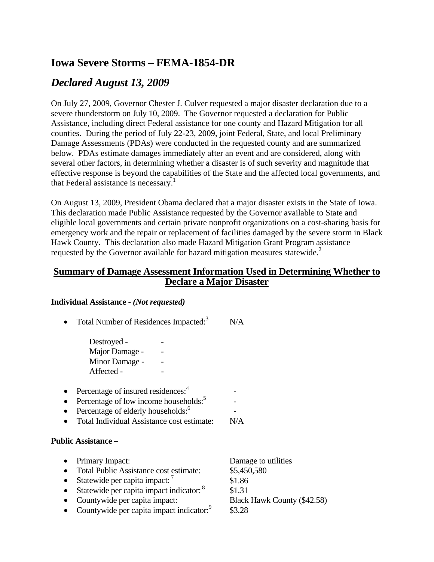# **Iowa Severe Storms – FEMA-1854-DR**

## *Declared August 13, 2009*

On July 27, 2009, Governor Chester J. Culver requested a major disaster declaration due to a severe thunderstorm on July 10, 2009. The Governor requested a declaration for Public Assistance, including direct Federal assistance for one county and Hazard Mitigation for all counties. During the period of July 22-23, 2009, joint Federal, State, and local Preliminary Damage Assessments (PDAs) were conducted in the requested county and are summarized below. PDAs estimate damages immediately after an event and are considered, along with several other factors, in determining whether a disaster is of such severity and magnitude that effective response is beyond the capabilities of the State and the affected local governments, and that Federal assistance is necessary.<sup>1</sup>

On August 13, 2009, President Obama declared that a major disaster exists in the State of Iowa. This declaration made Public Assistance requested by the Governor available to State and eligible local governments and certain private nonprofit organizations on a cost-sharing basis for emergency work and the repair or replacement of facilities damaged by the severe storm in Black Hawk County. This declaration also made Hazard Mitigation Grant Program assistance requested by the Governor available for hazard mitigation measures statewide.<sup>2</sup>

## **Summary of Damage Assessment Information Used in Determining Whether to Declare a Major Disaster**

 $\sim$  -  $\sim$   $\sim$   $\sim$   $\sim$ 

### **Individual Assistance -** *(Not requested)*

• Total Number of Residences Impacted: $3$  N/A Destroyed - Major Damage - - Minor Damage - - Affected - - • Percentage of insured residences: $4$  $\sim$  -  $\sim$   $\sim$   $\sim$   $\sim$ 

- Percentage of low income households: $5$  $\sim$  -  $\sim$   $-$
- Percentage of elderly households: $6$
- Total Individual Assistance cost estimate: N/A

### **Public Assistance –**

• Primary Impact: Damage to utilities • Total Public Assistance cost estimate: \$5,450,580 • Statewide per capita impact:  $\frac{7}{2}$  \$1.86 • Statewide per capita impact indicator:  $8$  \$1.31 • Countywide per capita impact: Black Hawk County (\$42.58) • Countywide per capita impact indicator:<sup>9</sup> \$3.28